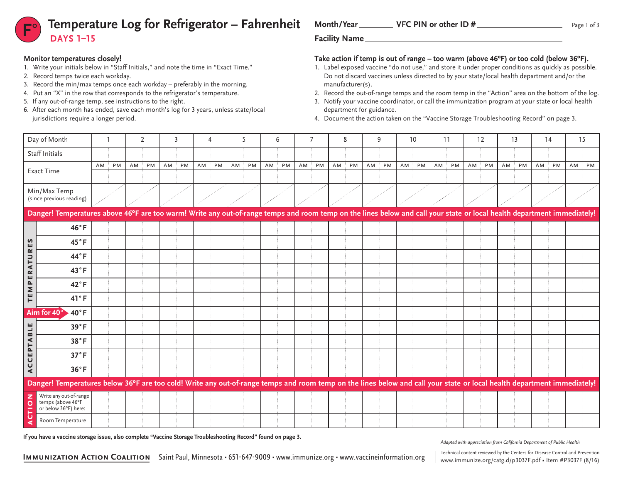

### **Monitor temperatures closely!**

- 1. Write your initials below in "Staff Initials," and note the time in "Exact Time."
- 2. Record temps twice each workday.
- 3. Record the min/max temps once each workday preferably in the morning.
- 4. Put an "X" in the row that corresponds to the refrigerator's temperature.
- 5. If any out-of-range temp, see instructions to the right.
- 6. After each month has ended, save each month's log for 3 years, unless state/local jurisdictions require a longer period.

Month/Year VFC PIN or other ID #

### **Take action if temp is out of range – too warm (above 46ºF) or too cold (below 36ºF).**

- 1. Label exposed vaccine "do not use," and store it under proper conditions as quickly as possible. Do not discard vaccines unless directed to by your state/local health department and/or the manufacturer(s).
- 2. Record the out-of-range temps and the room temp in the "Action" area on the bottom of the log.
- 3. Notify your vaccine coordinator, or call the immunization program at your state or local health department for guidance.
- 4. Document the action taken on the "Vaccine Storage Troubleshooting Record" on page 3.

|                                                                                                                                                                    | Day of Month                                                                                                                                                            |    |    |    | $\overline{2}$ |    |    |    |    | 5  |    |      | 6  |    |    | 8  |    |    | 9  | 10 |    | 11 |    |    | 12 | 13 |    | 14 |    | 15 |    |
|--------------------------------------------------------------------------------------------------------------------------------------------------------------------|-------------------------------------------------------------------------------------------------------------------------------------------------------------------------|----|----|----|----------------|----|----|----|----|----|----|------|----|----|----|----|----|----|----|----|----|----|----|----|----|----|----|----|----|----|----|
| Staff Initials                                                                                                                                                     |                                                                                                                                                                         |    |    |    |                |    |    |    |    |    |    |      |    |    |    |    |    |    |    |    |    |    |    |    |    |    |    |    |    |    |    |
|                                                                                                                                                                    | <b>Exact Time</b>                                                                                                                                                       | AM | PM | AM | PM             | AM | PM | AM | PM | AM | PM | AM : | PM | AM | PM | AM | PM | AM | PM | AM | PM | AM | PM | AM | PM | AM | PM | AM | PM | AM | PM |
|                                                                                                                                                                    |                                                                                                                                                                         |    |    |    |                |    |    |    |    |    |    |      |    |    |    |    |    |    |    |    |    |    |    |    |    |    |    |    |    |    |    |
| Min/Max Temp<br>(since previous reading)                                                                                                                           |                                                                                                                                                                         |    |    |    |                |    |    |    |    |    |    |      |    |    |    |    |    |    |    |    |    |    |    |    |    |    |    |    |    |    |    |
|                                                                                                                                                                    | Danger! Temperatures above 46°F are too warm! Write any out-of-range temps and room temp on the lines below and call your state or local health department immediately! |    |    |    |                |    |    |    |    |    |    |      |    |    |    |    |    |    |    |    |    |    |    |    |    |    |    |    |    |    |    |
|                                                                                                                                                                    | 46°F                                                                                                                                                                    |    |    |    |                |    |    |    |    |    |    |      |    |    |    |    |    |    |    |    |    |    |    |    |    |    |    |    |    |    |    |
| ES                                                                                                                                                                 | 45°F                                                                                                                                                                    |    |    |    |                |    |    |    |    |    |    |      |    |    |    |    |    |    |    |    |    |    |    |    |    |    |    |    |    |    |    |
| $\simeq$<br>$\hskip1.6pt\hskip1.6pt\hskip1.6pt\hskip1.6pt\hskip1.6pt\hskip1.6pt\hskip1.6pt\hskip1.6pt\hskip1.6pt\hskip1.6pt\hskip1.6pt\hskip1.6pt\hskip1.6pt$<br>н | 44°F                                                                                                                                                                    |    |    |    |                |    |    |    |    |    |    |      |    |    |    |    |    |    |    |    |    |    |    |    |    |    |    |    |    |    |    |
| <b>RA</b>                                                                                                                                                          | 43°F                                                                                                                                                                    |    |    |    |                |    |    |    |    |    |    |      |    |    |    |    |    |    |    |    |    |    |    |    |    |    |    |    |    |    |    |
| PE<br>Σ                                                                                                                                                            | $42^{\circ}$ F                                                                                                                                                          |    |    |    |                |    |    |    |    |    |    |      |    |    |    |    |    |    |    |    |    |    |    |    |    |    |    |    |    |    |    |
| Έ                                                                                                                                                                  | 41°F                                                                                                                                                                    |    |    |    |                |    |    |    |    |    |    |      |    |    |    |    |    |    |    |    |    |    |    |    |    |    |    |    |    |    |    |
|                                                                                                                                                                    | Aim for $40^\circ$<br>$40^{\circ}$ F                                                                                                                                    |    |    |    |                |    |    |    |    |    |    |      |    |    |    |    |    |    |    |    |    |    |    |    |    |    |    |    |    |    |    |
|                                                                                                                                                                    | 39°F                                                                                                                                                                    |    |    |    |                |    |    |    |    |    |    |      |    |    |    |    |    |    |    |    |    |    |    |    |    |    |    |    |    |    |    |
| PTABLE                                                                                                                                                             | 38°F                                                                                                                                                                    |    |    |    |                |    |    |    |    |    |    |      |    |    |    |    |    |    |    |    |    |    |    |    |    |    |    |    |    |    |    |
| ш<br>$\mathbf{\mathsf{U}}$                                                                                                                                         | 37°F                                                                                                                                                                    |    |    |    |                |    |    |    |    |    |    |      |    |    |    |    |    |    |    |    |    |    |    |    |    |    |    |    |    |    |    |
| $\cup$<br>$\blacktriangleleft$                                                                                                                                     | 36°F                                                                                                                                                                    |    |    |    |                |    |    |    |    |    |    |      |    |    |    |    |    |    |    |    |    |    |    |    |    |    |    |    |    |    |    |
|                                                                                                                                                                    | Danger! Temperatures below 36°F are too cold! Write any out-of-range temps and room temp on the lines below and call your state or local health department immediately! |    |    |    |                |    |    |    |    |    |    |      |    |    |    |    |    |    |    |    |    |    |    |    |    |    |    |    |    |    |    |
| z<br>$\circ$<br>Ě                                                                                                                                                  | Write any out-of-range<br>temps (above 46°F<br>or below 36°F) here:                                                                                                     |    |    |    |                |    |    |    |    |    |    |      |    |    |    |    |    |    |    |    |    |    |    |    |    |    |    |    |    |    |    |
| $\mathbf \omega$<br>⋖                                                                                                                                              | Room Temperature                                                                                                                                                        |    |    |    |                |    |    |    |    |    |    |      |    |    |    |    |    |    |    |    |    |    |    |    |    |    |    |    |    |    |    |

**If you have a vaccine storage issue, also complete "Vaccine Storage Troubleshooting Record" found on page 3.**

*Adapted with appreciation from California Department of Public Health*

www.immunize.org/catg.d/p3037F.pdf • Item #P3037F (8/16)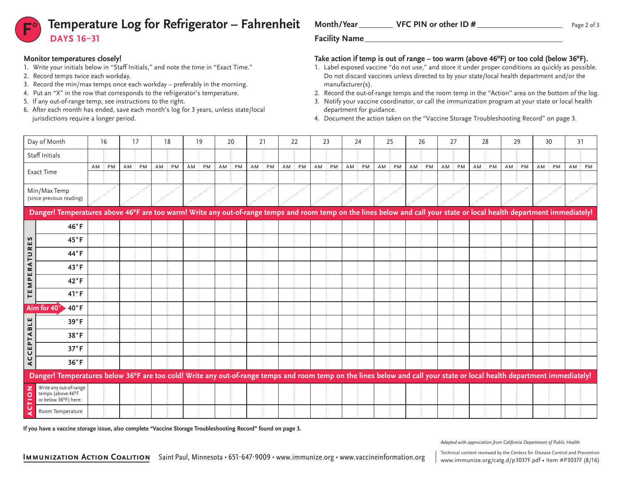# **Temperature Log for Refrigerator – Fahrenheit** Month/Year VFC PIN or other ID # **DAYS 16–31**

# **Monitor temperatures closely!**

- 1. Write your initials below in "Staff Initials," and note the time in "Exact Time."
- 2. Record temps twice each workday.
- 3. Record the min/max temps once each workday preferably in the morning.
- 4. Put an "X" in the row that corresponds to the refrigerator's temperature.
- 5. If any out-of-range temp, see instructions to the right.
- 6. After each month has ended, save each month's log for 3 years, unless state/local jurisdictions require a longer period.

Month/Year VFC PIN or other ID #

## **Take action if temp is out of range – too warm (above 46ºF) or too cold (below 36ºF).**

- 1. Label exposed vaccine "do not use," and store it under proper conditions as quickly as possible. Do not discard vaccines unless directed to by your state/local health department and/or the manufacturer(s).
- 2. Record the out-of-range temps and the room temp in the "Action" area on the bottom of the log.
- 3. Notify your vaccine coordinator, or call the immunization program at your state or local health department for guidance.
- 4. Document the action taken on the "Vaccine Storage Troubleshooting Record" on page 3.

|                                          | Day of Month                                                                                                                                                            | 16              |  | 17 |           |    | 18        |    | 19        |    | 20 |    | 21 |    | 22 |    | 23 | 24 |    | 25 |    | 26 |    | 27       | 28 |           | 29 |           | 30 |    | 31    |  |
|------------------------------------------|-------------------------------------------------------------------------------------------------------------------------------------------------------------------------|-----------------|--|----|-----------|----|-----------|----|-----------|----|----|----|----|----|----|----|----|----|----|----|----|----|----|----------|----|-----------|----|-----------|----|----|-------|--|
| Staff Initials                           |                                                                                                                                                                         |                 |  |    |           |    |           |    |           |    |    |    |    |    |    |    |    |    |    |    |    |    |    |          |    |           |    |           |    |    |       |  |
|                                          |                                                                                                                                                                         | <b>PM</b><br>AM |  | AM | <b>PM</b> | AM | <b>PM</b> | AM | <b>PM</b> | AM | PM | AM | PM | AM | PM | AM | PM | AM | PM | AM | PM | AM | PM | AM<br>PM | AM | <b>PM</b> | AM | <b>PM</b> | AM | PM | AM PM |  |
| <b>Exact Time</b>                        |                                                                                                                                                                         |                 |  |    |           |    |           |    |           |    |    |    |    |    |    |    |    |    |    |    |    |    |    |          |    |           |    |           |    |    |       |  |
| Min/Max Temp<br>(since previous reading) |                                                                                                                                                                         |                 |  |    |           |    |           |    |           |    |    |    |    |    |    |    |    |    |    |    |    |    |    |          |    |           |    |           |    |    |       |  |
|                                          | Danger! Temperatures above 46°F are too warm! Write any out-of-range temps and room temp on the lines below and call your state or local health department immediately! |                 |  |    |           |    |           |    |           |    |    |    |    |    |    |    |    |    |    |    |    |    |    |          |    |           |    |           |    |    |       |  |
|                                          | 46°F                                                                                                                                                                    |                 |  |    |           |    |           |    |           |    |    |    |    |    |    |    |    |    |    |    |    |    |    |          |    |           |    |           |    |    |       |  |
| S<br>ш                                   | 45°F                                                                                                                                                                    |                 |  |    |           |    |           |    |           |    |    |    |    |    |    |    |    |    |    |    |    |    |    |          |    |           |    |           |    |    |       |  |
| $\simeq$<br>ATU                          | 44°F                                                                                                                                                                    |                 |  |    |           |    |           |    |           |    |    |    |    |    |    |    |    |    |    |    |    |    |    |          |    |           |    |           |    |    |       |  |
| E                                        | 43°F                                                                                                                                                                    |                 |  |    |           |    |           |    |           |    |    |    |    |    |    |    |    |    |    |    |    |    |    |          |    |           |    |           |    |    |       |  |
| $\mathbf{r}$<br>Σ                        | 42°F                                                                                                                                                                    |                 |  |    |           |    |           |    |           |    |    |    |    |    |    |    |    |    |    |    |    |    |    |          |    |           |    |           |    |    |       |  |
| ш<br>н                                   | 41°F                                                                                                                                                                    |                 |  |    |           |    |           |    |           |    |    |    |    |    |    |    |    |    |    |    |    |    |    |          |    |           |    |           |    |    |       |  |
|                                          | Aim for 40°<br>$40^{\circ}$ F                                                                                                                                           |                 |  |    |           |    |           |    |           |    |    |    |    |    |    |    |    |    |    |    |    |    |    |          |    |           |    |           |    |    |       |  |
| Н                                        | 39°F                                                                                                                                                                    |                 |  |    |           |    |           |    |           |    |    |    |    |    |    |    |    |    |    |    |    |    |    |          |    |           |    |           |    |    |       |  |
| $\bf{m}$<br>PTA                          | 38°F                                                                                                                                                                    |                 |  |    |           |    |           |    |           |    |    |    |    |    |    |    |    |    |    |    |    |    |    |          |    |           |    |           |    |    |       |  |
| ш<br>$\mathbf{\mathsf{U}}$               | 37°F                                                                                                                                                                    |                 |  |    |           |    |           |    |           |    |    |    |    |    |    |    |    |    |    |    |    |    |    |          |    |           |    |           |    |    |       |  |
| $\cup$<br>⋖                              | 36°F                                                                                                                                                                    |                 |  |    |           |    |           |    |           |    |    |    |    |    |    |    |    |    |    |    |    |    |    |          |    |           |    |           |    |    |       |  |
|                                          | Danger! Temperatures below 36°F are too cold! Write any out-of-range temps and room temp on the lines below and call your state or local health department immediately! |                 |  |    |           |    |           |    |           |    |    |    |    |    |    |    |    |    |    |    |    |    |    |          |    |           |    |           |    |    |       |  |
| z<br>$\circ$<br>F                        | Write any out-of-range<br>temps (above 46°F<br>or below 36°F) here:                                                                                                     |                 |  |    |           |    |           |    |           |    |    |    |    |    |    |    |    |    |    |    |    |    |    |          |    |           |    |           |    |    |       |  |
| U                                        | Room Temperature                                                                                                                                                        |                 |  |    |           |    |           |    |           |    |    |    |    |    |    |    |    |    |    |    |    |    |    |          |    |           |    |           |    |    |       |  |

**If you have a vaccine storage issue, also complete "Vaccine Storage Troubleshooting Record" found on page 3.**

*Adapted with appreciation from California Department of Public Health*

[www.immunize.org/catg.d/p](http://www.immunize.org/catg.d/p3037F.pdf)3037F.pdf • Item #P3037F (8/16)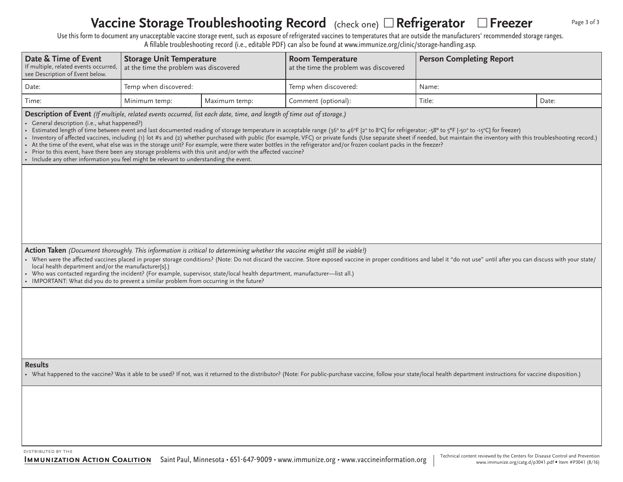#### **Vaccine Storage Troubleshooting Record** (check one) □ Refrigerator □ Freezer Page 3 of 3

Use this form to document any unacceptable vaccine storage event, such as exposure of refrigerated vaccines to temperatures that are outside the manufacturers' recommended storage ranges. A fillable troubleshooting record (i.e., editable PDF) can also be found at www.immunize.org/clinic/storage-handling.asp.

| Date & Time of Event<br>If multiple, related events occurred,<br>see Description of Event below.                                                                                                                                                                                                                                                                                                                                                                                                                                                                                                                                                                                                                                                                                                                                                                                                                                                                                                | <b>Storage Unit Temperature</b><br>at the time the problem was discovered |               | <b>Room Temperature</b><br>at the time the problem was discovered | <b>Person Completing Report</b> |       |  |  |  |  |  |  |  |
|-------------------------------------------------------------------------------------------------------------------------------------------------------------------------------------------------------------------------------------------------------------------------------------------------------------------------------------------------------------------------------------------------------------------------------------------------------------------------------------------------------------------------------------------------------------------------------------------------------------------------------------------------------------------------------------------------------------------------------------------------------------------------------------------------------------------------------------------------------------------------------------------------------------------------------------------------------------------------------------------------|---------------------------------------------------------------------------|---------------|-------------------------------------------------------------------|---------------------------------|-------|--|--|--|--|--|--|--|
| Date:                                                                                                                                                                                                                                                                                                                                                                                                                                                                                                                                                                                                                                                                                                                                                                                                                                                                                                                                                                                           | Temp when discovered:                                                     |               | Temp when discovered:                                             | Name:                           |       |  |  |  |  |  |  |  |
| Time:                                                                                                                                                                                                                                                                                                                                                                                                                                                                                                                                                                                                                                                                                                                                                                                                                                                                                                                                                                                           | Minimum temp:                                                             | Maximum temp: | Comment (optional):                                               | Title:                          | Date: |  |  |  |  |  |  |  |
| Description of Event (If multiple, related events occurred, list each date, time, and length of time out of storage.)<br>• General description (i.e., what happened?)<br>• Estimated length of time between event and last documented reading of storage temperature in acceptable range (36° to 46°F [2° to 8°C] for refrigerator; -58° to 5°F [-50° to -15°C] for freezer)<br>• Inventory of affected vaccines, including (1) lot #s and (2) whether purchased with public (for example, VFC) or private funds (Use separate sheet if needed, but maintain the inventory with this troubleshooting record.)<br>• At the time of the event, what else was in the storage unit? For example, were there water bottles in the refrigerator and/or frozen coolant packs in the freezer?<br>• Prior to this event, have there been any storage problems with this unit and/or with the affected vaccine?<br>• Include any other information you feel might be relevant to understanding the event. |                                                                           |               |                                                                   |                                 |       |  |  |  |  |  |  |  |
|                                                                                                                                                                                                                                                                                                                                                                                                                                                                                                                                                                                                                                                                                                                                                                                                                                                                                                                                                                                                 |                                                                           |               |                                                                   |                                 |       |  |  |  |  |  |  |  |
| Action Taken (Document thoroughly. This information is critical to determining whether the vaccine might still be viable!)<br>• When were the affected vaccines placed in proper storage conditions? (Note: Do not discard the vaccine. Store exposed vaccine in proper conditions and label it "do not use" until after you can discuss with your state/<br>local health department and/or the manufacturer[s].)<br>• Who was contacted regarding the incident? (For example, supervisor, state/local health department, manufacturer—list all.)<br>• IMPORTANT: What did you do to prevent a similar problem from occurring in the future?                                                                                                                                                                                                                                                                                                                                                    |                                                                           |               |                                                                   |                                 |       |  |  |  |  |  |  |  |
|                                                                                                                                                                                                                                                                                                                                                                                                                                                                                                                                                                                                                                                                                                                                                                                                                                                                                                                                                                                                 |                                                                           |               |                                                                   |                                 |       |  |  |  |  |  |  |  |
| <b>Results</b><br>• What happened to the vaccine? Was it able to be used? If not, was it returned to the distributor? (Note: For public-purchase vaccine, follow your state/local health department instructions for vaccine disposition.)                                                                                                                                                                                                                                                                                                                                                                                                                                                                                                                                                                                                                                                                                                                                                      |                                                                           |               |                                                                   |                                 |       |  |  |  |  |  |  |  |
|                                                                                                                                                                                                                                                                                                                                                                                                                                                                                                                                                                                                                                                                                                                                                                                                                                                                                                                                                                                                 |                                                                           |               |                                                                   |                                 |       |  |  |  |  |  |  |  |

distributed by the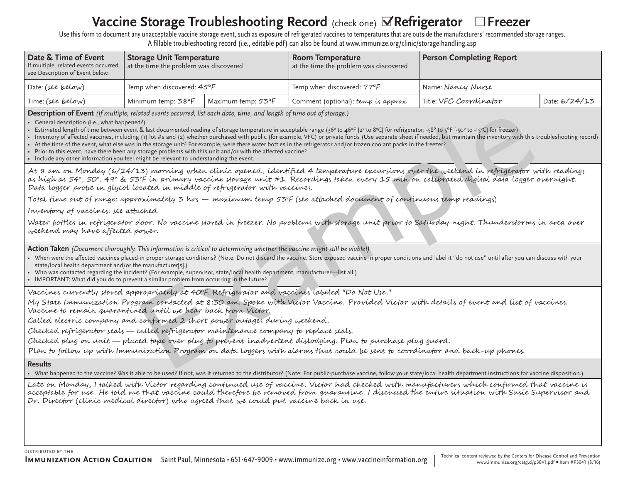# **Vaccine Storage Troubleshooting Record** (check one) **⊠Refrigerator** □Freezer

Use this form to document any unacceptable vaccine storage event, such as exposure of refrigerated vaccines to temperatures that are outside the manufacturers' recommended storage ranges. A fillable troubleshooting record (i.e., editable pdf) can also be found at www.immunize.org/clinic/storage-handling.asp

| Date & Time of Event<br>If multiple, related events occurred,<br>see Description of Event below. | <b>Storage Unit Temperature</b><br>at the time the problem was discovered |                    | <b>Room Temperature</b><br>at the time the problem was discovered | Person Completing Report |               |  |  |  |  |
|--------------------------------------------------------------------------------------------------|---------------------------------------------------------------------------|--------------------|-------------------------------------------------------------------|--------------------------|---------------|--|--|--|--|
| Date: (see below)                                                                                | Temp when discovered: $45^{\circ}F$                                       |                    | Temp when discovered: 77°F                                        | Name: Nancy Nurse        |               |  |  |  |  |
| Time: (see below)                                                                                | Minimum temp: 38°F                                                        | Maximum temp: 53°F | Comment (optional): temp is approx                                | Title: VFC Coordinator   | Date: 6/24/13 |  |  |  |  |

**Description of Event** *(If multiple, related events occurred, list each date, time, and length of time out of storage.)*

• General description (i.e., what happened?)

- Estimated length of time between event & last documented reading of storage temperature in acceptable range (36° to 46°F [2° to 8°C] for refrigerator; -58° to 5°F [-50° to -15°C] for freezer)
- Inventory of affected vaccines, including (1) lot #s and (2) whether purchased with public (for example, VFC) or private funds (Use separate sheet if needed, but maintain the inventory with this troubleshooting record)
- At the time of the event, what else was in the storage unit? For example, were there water bottles in the refrigerator and/or frozen coolant packs in the freezer?
- Prior to this event, have there been any storage problems with this unit and/or with the affected vaccine? • Include any other information you feel might be relevant to understanding the event.

ited deents occurred, list each date, time, and length of sime and of storage.)<br>Example are though of the same immediator in exceptable range (30 to 40° km) to the figure and the commentation of the same (3) whether purcha At 8 am on Monday (6/24/13) morning when clinic opened , identified 4 temperature excursions over the weekend in refrigerator with readings as high as 54°, 50°, 49° & 53°F in primary vaccine storage unit #1. Recordings taken every 15 min on calibrated digital data logger overnight.

Data logger probe in glycol located in middle of refrigerator with vaccines.

Total time out of range: approximately 3 hrs — maximum temp 53°F (see attached document of continuous temp readings)

Inventory of vaccines: see attached

Water bottles in refrigerator door. No vaccine stored in freezer. No problems with storage unit prior to Saturday night. Thunderstorms in area over weekend may have affected power.

**Action Taken** *(Document thoroughly. This information is critical to determining whether the vaccine might still be viable!)*

- When were the affected vaccines placed in proper storage conditions? (Note: Do not discard the vaccine. Store exposed vaccine in proper conditions and label it "do not use" until after you can discuss with your state/local health department and/or the manufacturer[s].)
- • Who was contacted regarding the incident? (For example, supervisor, state/local health department, manufacturer—list all.)
- IMPORTANT: What did you do to prevent a similar problem from occurring in the future?

Vaccines currently stored appropriately at 40ºF. Refrigerator and vaccines labeled "Do Not Use."

My State Immunization Program contacted at 8:30 am. Spoke with Victor Vaccine. Provided Victor with details of event and list of vaccines. Vaccine to remain quarantined until we hear back from Victor.

Called electric company and confirmed 2 short power outages during weekend.

Checked refrigerator seals called refrigerator maintenance company to replace seals.

Checked plug on unit placed tape over plug to prevent inadvertent dislodging. Plan to purchase plug guard.

Plan to follow up with Immunization Program on data loggers with alarms that could be sent to coordinator and back-up phones.

## **Results**

• What happened to the vaccine? Was it able to be used? If not, was it returned to the distributor? (Note: For public-purchase vaccine, follow your state/local health department instructions for vaccine disposition.)

Late on Monday, I talked with Victor regarding continued use of vaccine. Victor had checked with manufacturers which confirmed that vaccine is acceptable for use. He told me that vaccine could therefore be removed from quarantine. I discussed the entire situation with Susie Supervisor and Dr. Director (clinic medical director) who agreed that we could put vaccine back in use.